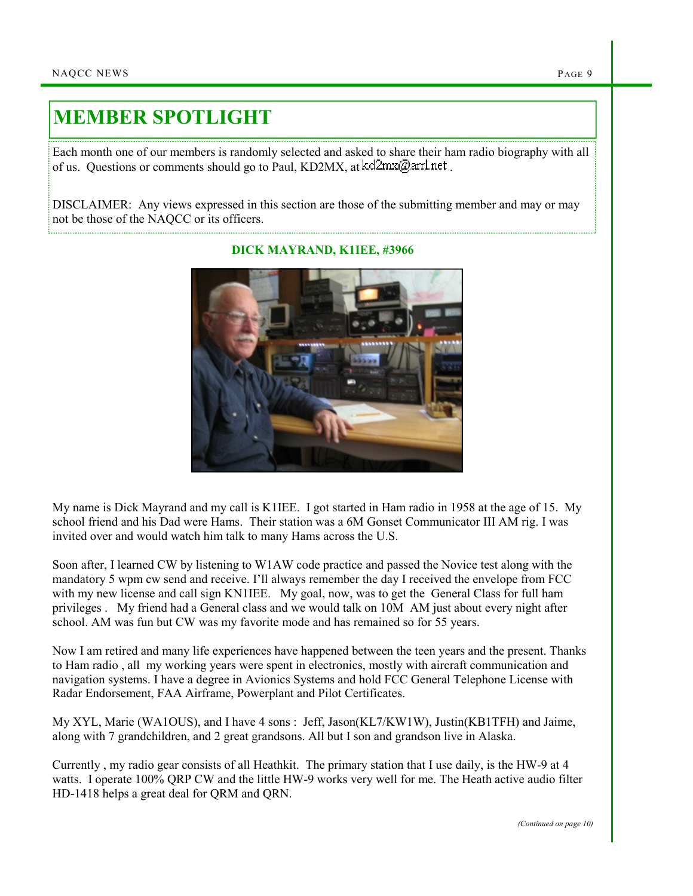## MEMBER SPOTLIGHT

Each month one of our members is randomly selected and asked to share their ham radio biography with all of us. Questions or comments should go to Paul, KD2MX, at  $kd2mx@ar1net$ .

DISCLAIMER: Any views expressed in this section are those of the submitting member and may or may not be those of the NAQCC or its officers.



## DICK MAYRAND, K1IEE, #3966

My name is Dick Mayrand and my call is K1IEE. I got started in Ham radio in 1958 at the age of 15. My school friend and his Dad were Hams. Their station was a 6M Gonset Communicator III AM rig. I was invited over and would watch him talk to many Hams across the U.S.

Soon after, I learned CW by listening to W1AW code practice and passed the Novice test along with the mandatory 5 wpm cw send and receive. I'll always remember the day I received the envelope from FCC with my new license and call sign KN1IEE. My goal, now, was to get the General Class for full ham privileges . My friend had a General class and we would talk on 10M AM just about every night after school. AM was fun but CW was my favorite mode and has remained so for 55 years.

Now I am retired and many life experiences have happened between the teen years and the present. Thanks to Ham radio , all my working years were spent in electronics, mostly with aircraft communication and navigation systems. I have a degree in Avionics Systems and hold FCC General Telephone License with Radar Endorsement, FAA Airframe, Powerplant and Pilot Certificates.

My XYL, Marie (WA1OUS), and I have 4 sons : Jeff, Jason(KL7/KW1W), Justin(KB1TFH) and Jaime, along with 7 grandchildren, and 2 great grandsons. All but I son and grandson live in Alaska.

Currently , my radio gear consists of all Heathkit. The primary station that I use daily, is the HW-9 at 4 watts. I operate 100% ORP CW and the little HW-9 works very well for me. The Heath active audio filter HD-1418 helps a great deal for QRM and QRN.